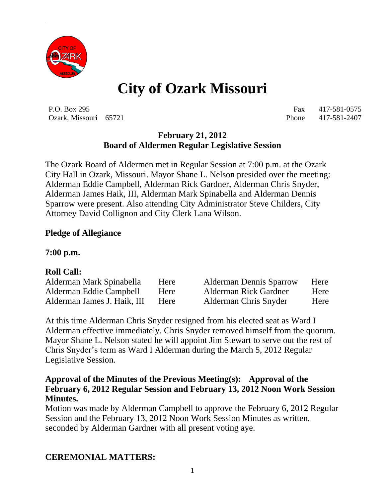

# **City of Ozark Missouri**

P.O. Box 295 Fax 417-581-0575 Ozark, Missouri 65721 Phone 417-581-2407

## **February 21, 2012 Board of Aldermen Regular Legislative Session**

The Ozark Board of Aldermen met in Regular Session at 7:00 p.m. at the Ozark City Hall in Ozark, Missouri. Mayor Shane L. Nelson presided over the meeting: Alderman Eddie Campbell, Alderman Rick Gardner, Alderman Chris Snyder, Alderman James Haik, III, Alderman Mark Spinabella and Alderman Dennis Sparrow were present. Also attending City Administrator Steve Childers, City Attorney David Collignon and City Clerk Lana Wilson.

#### **Pledge of Allegiance**

#### **7:00 p.m.**

#### **Roll Call:**

| Alderman Mark Spinabella    | Here        | <b>Alderman Dennis Sparrow</b> | Here |
|-----------------------------|-------------|--------------------------------|------|
| Alderman Eddie Campbell     | Here        | Alderman Rick Gardner          | Here |
| Alderman James J. Haik, III | <b>Here</b> | Alderman Chris Snyder          | Here |

At this time Alderman Chris Snyder resigned from his elected seat as Ward I Alderman effective immediately. Chris Snyder removed himself from the quorum. Mayor Shane L. Nelson stated he will appoint Jim Stewart to serve out the rest of Chris Snyder's term as Ward I Alderman during the March 5, 2012 Regular Legislative Session.

#### **Approval of the Minutes of the Previous Meeting(s): Approval of the February 6, 2012 Regular Session and February 13, 2012 Noon Work Session Minutes.**

Motion was made by Alderman Campbell to approve the February 6, 2012 Regular Session and the February 13, 2012 Noon Work Session Minutes as written, seconded by Alderman Gardner with all present voting aye.

## **CEREMONIAL MATTERS:**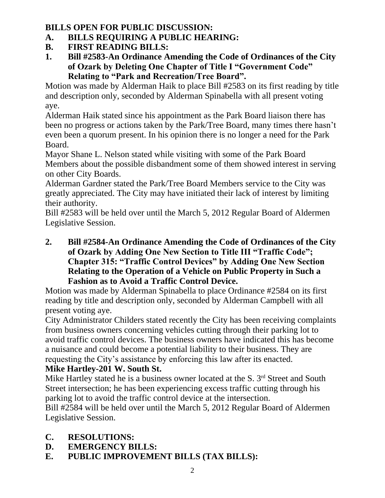## **BILLS OPEN FOR PUBLIC DISCUSSION:**

- **A. BILLS REQUIRING A PUBLIC HEARING:**
- **B. FIRST READING BILLS:**
- **1. Bill #2583-An Ordinance Amending the Code of Ordinances of the City of Ozark by Deleting One Chapter of Title I "Government Code" Relating to "Park and Recreation/Tree Board".**

Motion was made by Alderman Haik to place Bill #2583 on its first reading by title and description only, seconded by Alderman Spinabella with all present voting aye.

Alderman Haik stated since his appointment as the Park Board liaison there has been no progress or actions taken by the Park/Tree Board, many times there hasn't even been a quorum present. In his opinion there is no longer a need for the Park Board.

Mayor Shane L. Nelson stated while visiting with some of the Park Board Members about the possible disbandment some of them showed interest in serving on other City Boards.

Alderman Gardner stated the Park/Tree Board Members service to the City was greatly appreciated. The City may have initiated their lack of interest by limiting their authority.

Bill #2583 will be held over until the March 5, 2012 Regular Board of Aldermen Legislative Session.

**2. Bill #2584-An Ordinance Amending the Code of Ordinances of the City of Ozark by Adding One New Section to Title III "Traffic Code"; Chapter 315: "Traffic Control Devices" by Adding One New Section Relating to the Operation of a Vehicle on Public Property in Such a Fashion as to Avoid a Traffic Control Device.**

Motion was made by Alderman Spinabella to place Ordinance #2584 on its first reading by title and description only, seconded by Alderman Campbell with all present voting aye.

City Administrator Childers stated recently the City has been receiving complaints from business owners concerning vehicles cutting through their parking lot to avoid traffic control devices. The business owners have indicated this has become a nuisance and could become a potential liability to their business. They are requesting the City's assistance by enforcing this law after its enacted.

## **Mike Hartley-201 W. South St.**

Mike Hartley stated he is a business owner located at the S.  $3<sup>rd</sup>$  Street and South Street intersection; he has been experiencing excess traffic cutting through his parking lot to avoid the traffic control device at the intersection.

Bill #2584 will be held over until the March 5, 2012 Regular Board of Aldermen Legislative Session.

- **C. RESOLUTIONS:**
- **D. EMERGENCY BILLS:**
- **E. PUBLIC IMPROVEMENT BILLS (TAX BILLS):**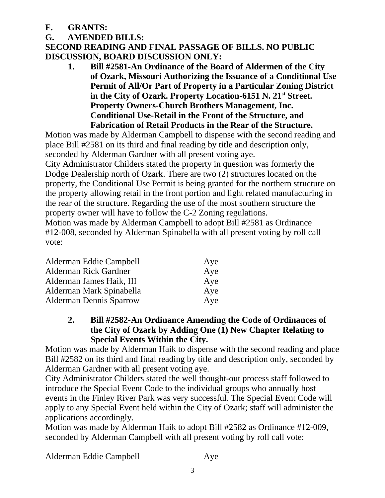**F. GRANTS:**

## **G. AMENDED BILLS:**

**SECOND READING AND FINAL PASSAGE OF BILLS. NO PUBLIC DISCUSSION, BOARD DISCUSSION ONLY:**

**1. Bill #2581-An Ordinance of the Board of Aldermen of the City of Ozark, Missouri Authorizing the Issuance of a Conditional Use Permit of All/Or Part of Property in a Particular Zoning District**  in the City of Ozark. Property Location-6151 N. 21<sup>st</sup> Street. **Property Owners-Church Brothers Management, Inc. Conditional Use-Retail in the Front of the Structure, and Fabrication of Retail Products in the Rear of the Structure.**

Motion was made by Alderman Campbell to dispense with the second reading and place Bill #2581 on its third and final reading by title and description only, seconded by Alderman Gardner with all present voting aye.

City Administrator Childers stated the property in question was formerly the Dodge Dealership north of Ozark. There are two (2) structures located on the property, the Conditional Use Permit is being granted for the northern structure on the property allowing retail in the front portion and light related manufacturing in the rear of the structure. Regarding the use of the most southern structure the property owner will have to follow the C-2 Zoning regulations.

Motion was made by Alderman Campbell to adopt Bill #2581 as Ordinance #12-008, seconded by Alderman Spinabella with all present voting by roll call vote:

| Alderman Eddie Campbell        | Aye |
|--------------------------------|-----|
| Alderman Rick Gardner          | Aye |
| Alderman James Haik, III       | Aye |
| Alderman Mark Spinabella       | Aye |
| <b>Alderman Dennis Sparrow</b> | Aye |

**2. Bill #2582-An Ordinance Amending the Code of Ordinances of the City of Ozark by Adding One (1) New Chapter Relating to Special Events Within the City.**

Motion was made by Alderman Haik to dispense with the second reading and place Bill #2582 on its third and final reading by title and description only, seconded by Alderman Gardner with all present voting aye.

City Administrator Childers stated the well thought-out process staff followed to introduce the Special Event Code to the individual groups who annually host events in the Finley River Park was very successful. The Special Event Code will apply to any Special Event held within the City of Ozark; staff will administer the applications accordingly.

Motion was made by Alderman Haik to adopt Bill #2582 as Ordinance #12-009, seconded by Alderman Campbell with all present voting by roll call vote:

Alderman Eddie Campbell Aye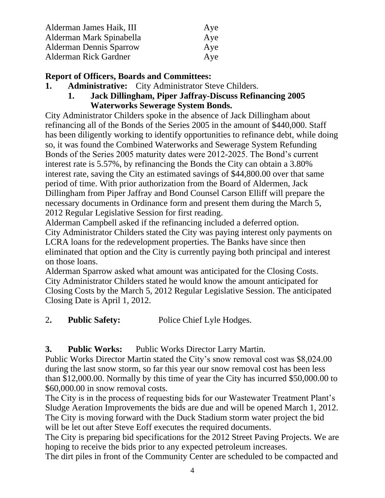| Alderman James Haik, III       | Aye |
|--------------------------------|-----|
| Alderman Mark Spinabella       | Aye |
| <b>Alderman Dennis Sparrow</b> | Aye |
| Alderman Rick Gardner          | Aye |

### **Report of Officers, Boards and Committees:**

- **1. Administrative:** City Administrator Steve Childers.
	- **1. Jack Dillingham, Piper Jaffray-Discuss Refinancing 2005 Waterworks Sewerage System Bonds.**

City Administrator Childers spoke in the absence of Jack Dillingham about refinancing all of the Bonds of the Series 2005 in the amount of \$440,000. Staff has been diligently working to identify opportunities to refinance debt, while doing so, it was found the Combined Waterworks and Sewerage System Refunding Bonds of the Series 2005 maturity dates were 2012-2025. The Bond's current interest rate is 5.57%, by refinancing the Bonds the City can obtain a 3.80% interest rate, saving the City an estimated savings of \$44,800.00 over that same period of time. With prior authorization from the Board of Aldermen, Jack Dillingham from Piper Jaffray and Bond Counsel Carson Elliff will prepare the necessary documents in Ordinance form and present them during the March 5, 2012 Regular Legislative Session for first reading.

Alderman Campbell asked if the refinancing included a deferred option.

City Administrator Childers stated the City was paying interest only payments on LCRA loans for the redevelopment properties. The Banks have since then eliminated that option and the City is currently paying both principal and interest on those loans.

Alderman Sparrow asked what amount was anticipated for the Closing Costs. City Administrator Childers stated he would know the amount anticipated for Closing Costs by the March 5, 2012 Regular Legislative Session. The anticipated Closing Date is April 1, 2012.

2**. Public Safety:** Police Chief Lyle Hodges.

**3. Public Works:** Public Works Director Larry Martin.

Public Works Director Martin stated the City's snow removal cost was \$8,024.00 during the last snow storm, so far this year our snow removal cost has been less than \$12,000.00. Normally by this time of year the City has incurred \$50,000.00 to \$60,000.00 in snow removal costs.

The City is in the process of requesting bids for our Wastewater Treatment Plant's Sludge Aeration Improvements the bids are due and will be opened March 1, 2012. The City is moving forward with the Duck Stadium storm water project the bid will be let out after Steve Eoff executes the required documents.

The City is preparing bid specifications for the 2012 Street Paving Projects. We are hoping to receive the bids prior to any expected petroleum increases.

The dirt piles in front of the Community Center are scheduled to be compacted and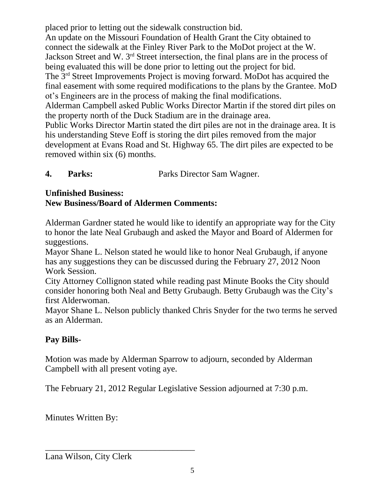placed prior to letting out the sidewalk construction bid. An update on the Missouri Foundation of Health Grant the City obtained to connect the sidewalk at the Finley River Park to the MoDot project at the W. Jackson Street and W. 3rd Street intersection, the final plans are in the process of being evaluated this will be done prior to letting out the project for bid. The 3rd Street Improvements Project is moving forward. MoDot has acquired the final easement with some required modifications to the plans by the Grantee. MoD ot's Engineers are in the process of making the final modifications. Alderman Campbell asked Public Works Director Martin if the stored dirt piles on the property north of the Duck Stadium are in the drainage area. Public Works Director Martin stated the dirt piles are not in the drainage area. It is his understanding Steve Eoff is storing the dirt piles removed from the major development at Evans Road and St. Highway 65. The dirt piles are expected to be removed within six (6) months.

**4. Parks:** Parks Director Sam Wagner.

#### **Unfinished Business: New Business/Board of Aldermen Comments:**

Alderman Gardner stated he would like to identify an appropriate way for the City to honor the late Neal Grubaugh and asked the Mayor and Board of Aldermen for suggestions.

Mayor Shane L. Nelson stated he would like to honor Neal Grubaugh, if anyone has any suggestions they can be discussed during the February 27, 2012 Noon Work Session.

City Attorney Collignon stated while reading past Minute Books the City should consider honoring both Neal and Betty Grubaugh. Betty Grubaugh was the City's first Alderwoman.

Mayor Shane L. Nelson publicly thanked Chris Snyder for the two terms he served as an Alderman.

## **Pay Bills-**

Motion was made by Alderman Sparrow to adjourn, seconded by Alderman Campbell with all present voting aye.

The February 21, 2012 Regular Legislative Session adjourned at 7:30 p.m.

Minutes Written By:

Lana Wilson, City Clerk

\_\_\_\_\_\_\_\_\_\_\_\_\_\_\_\_\_\_\_\_\_\_\_\_\_\_\_\_\_\_\_\_\_\_